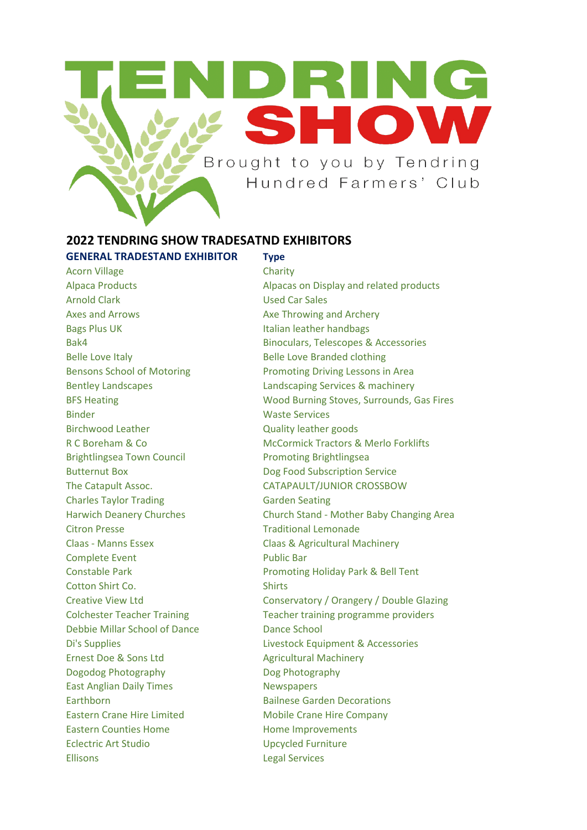

## **2022 TENDRING SHOW TRADESATND EXHIBITORS**

# **GENERAL TRADESTAND EXHIBITOR Type** Acorn Village Charity Arnold Clark **Used Car Sales** Axes and Arrows **Axes Throwing and Archery** Bags Plus UK **Italian leather handbags** Belle Love Italy **Belle Love Branded clothing** Binder Waste Services Birchwood Leather Quality leather goods Brightlingsea Town Council **Promoting Brightlingsea** Butternut Box **Butternut Box** Dog Food Subscription Service Charles Taylor Trading Garden Seating Citron Presse **Traditional Lemonade** Complete Event **Public Bar** Cotton Shirt Co. Shirts Debbie Millar School of Dance Dance School Ernest Doe & Sons Ltd Agricultural Machinery Dogodog Photography Dog Photography East Anglian Daily Times Newspapers Earthborn Bailnese Garden Decorations Eastern Crane Hire Limited Mobile Crane Hire Company Eastern Counties Home **Figure 10** Home Improvements Eclectric Art Studio Upcycled Furniture Ellisons Legal Services

Alpaca Products Alpacas on Display and related products Bak4 Binoculars, Telescopes & Accessories Bensons School of Motoring **Promoting Driving Lessons in Area** Bentley Landscapes Landscaping Services & machinery BFS Heating Wood Burning Stoves, Surrounds, Gas Fires R C Boreham & Co McCormick Tractors & Merlo Forklifts The Catapult Assoc. CATAPAULT/JUNIOR CROSSBOW Harwich Deanery Churches Church Stand - Mother Baby Changing Area Claas - Manns Essex Claas & Agricultural Machinery Constable Park **Promoting Holiday Park & Bell Tent** Creative View Ltd Conservatory / Orangery / Double Glazing Colchester Teacher Training Teacher training programme providers Di's Supplies **Livestock Equipment & Accessories**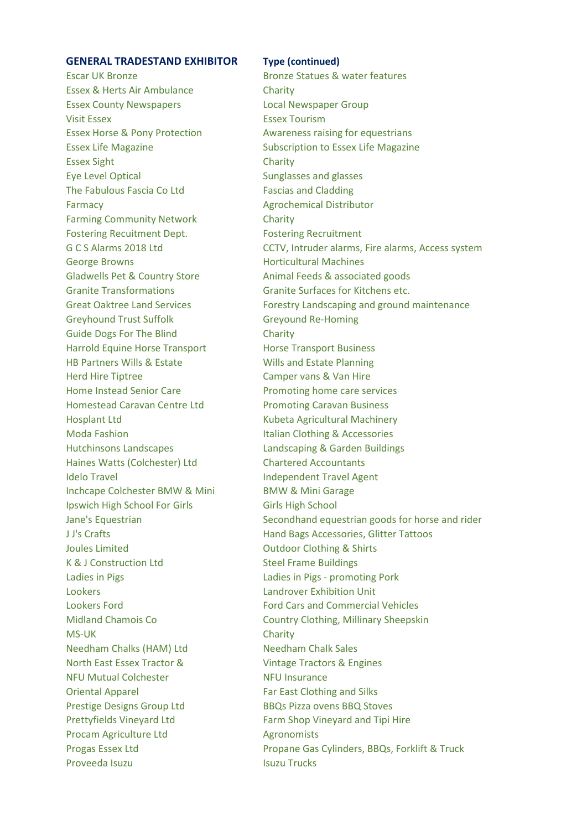### **GENERAL TRADESTAND EXHIBITOR Type (continued)**

Escar UK Bronze Bronze Statues & water features Essex & Herts Air Ambulance Charity Essex County Newspapers Local Newspaper Group Visit Essex **Essex** Essex Tourism Essex Horse & Pony Protection Awareness raising for equestrians Essex Sight Charity Eye Level Optical Sunglasses and glasses The Fabulous Fascia Co Ltd Fascias and Cladding Farmacy **Agrochemical Distributor Agrochemical Distributor** Farming Community Network **Charity** Fostering Recuitment Dept. Fostering Recruitment George Browns **Example 20 For a Controller Horticultural Machines** Gladwells Pet & Country Store Animal Feeds & associated goods Granite Transformations Granite Surfaces for Kitchens etc. Greyhound Trust Suffolk Greyound Re-Homing Guide Dogs For The Blind Charity Harrold Equine Horse Transport Horse Transport Business HB Partners Wills & Estate Wills and Estate Planning Herd Hire Tiptree Camper vans & Van Hire Home Instead Senior Care **Promoting home care services** Homestead Caravan Centre Ltd Promoting Caravan Business Hosplant Ltd **Kubeta Agricultural Machinery** Moda Fashion **Italian Clothing & Accessories** Hutchinsons Landscapes Landscaping & Garden Buildings Haines Watts (Colchester) Ltd Chartered Accountants Idelo Travel **Independent Travel Agent** Inchcape Colchester BMW & Mini BMW & Mini Garage Ipswich High School For Girls Girls High School **Joules Limited Community Controllering Controllering Controllering Controllering Controllering Controllering Controllering Controllering Controllering Controllering Controllering Controllering Controllering Controllering** K & J Construction Ltd Steel Frame Buildings Ladies in Pigs Ladies in Pigs - promoting Pork Lookers Landrover Exhibition Unit MS-UK Charity Needham Chalks (HAM) Ltd Needham Chalk Sales North East Essex Tractor & Vintage Tractors & Engines NFU Mutual Colchester NFU Insurance Oriental Apparel **Far East Clothing and Silks** Prestige Designs Group Ltd BBQs Pizza ovens BBQ Stoves Prettyfields Vineyard Ltd Farm Shop Vineyard and Tipi Hire Procam Agriculture Ltd Agronomists Proveeda Isuzu **Isuzu Isuzu Trucks** 

Essex Life Magazine **Subscription to Essex Life Magazine** G C S Alarms 2018 Ltd CCTV, Intruder alarms, Fire alarms, Access system Great Oaktree Land Services Forestry Landscaping and ground maintenance Jane's Equestrian Secondhand equestrian goods for horse and rider J J's Crafts Hand Bags Accessories, Glitter Tattoos Lookers Ford Ford Cars and Commercial Vehicles Midland Chamois Co **Country Clothing, Millinary Sheepskin** Progas Essex Ltd Propane Gas Cylinders, BBQs, Forklift & Truck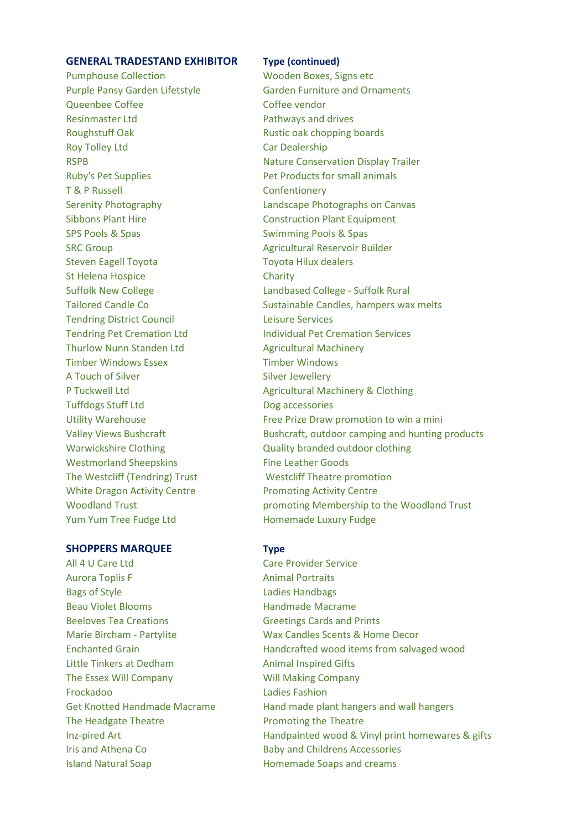### **GENERAL TRADESTAND EXHIBITOR Type (continued)**

Pumphouse Collection November 2012 Wooden Boxes, Signs etc Queenbee Coffee Coffee vendor Resinmaster Ltd **Pathways and drives** Roughstuff Oak **Rustic Oak Chopping boards** Rustic oak chopping boards Roy Tolley Ltd **Car Dealership** Ruby's Pet Supplies **Pet Products for small animals** T & P Russell Confentionery Sibbons Plant Hire Construction Plant Equipment SPS Pools & Spas Swimming Pools & Spas SRC Group **Agricultural Reservoir Builder** Steven Eagell Toyota Nilliam Toyota Hilux dealers St Helena Hospice Charity Tendring District Council Leisure Services Thurlow Nunn Standen Ltd Agricultural Machinery Timber Windows Essex Timber Windows A Touch of Silver Silver Silver Jewellery Tuffdogs Stuff Ltd Dog accessories Westmorland Sheepskins Fine Leather Goods The Westcliff (Tendring) Trust Westcliff Theatre promotion White Dragon Activity Centre Promoting Activity Centre Yum Yum Tree Fudge Ltd Homemade Luxury Fudge

### **SHOPPERS MARQUEE Type**

All 4 U Care Ltd Care Provider Service Aurora Toplis F Animal Portraits Bags of Style **Ladies Handbags** Beau Violet Blooms **Handmade Macrame** Beeloves Tea Creations **Greetings Cards and Prints** Little Tinkers at Dedham Animal Inspired Gifts The Essex Will Company Will Making Company Frockadoo Ladies Fashion The Headgate Theatre **Promoting the Theatre** Iris and Athena Co **Baby and Childrens Accessories** Island Natural Soap **Homemade Soaps and creams** 

Purple Pansy Garden Lifetstyle Garden Furniture and Ornaments RSPB Nature Conservation Display Trailer Serenity Photography Landscape Photographs on Canvas Suffolk New College Landbased College - Suffolk Rural Tailored Candle Co Sustainable Candles, hampers wax melts Tendring Pet Cremation Ltd Individual Pet Cremation Services P Tuckwell Ltd **Agricultural Machinery & Clothing** P Tuckwell Ltd Utility Warehouse Free Prize Draw promotion to win a mini Valley Views Bushcraft **Bushcraft, outdoor camping and hunting products** Warwickshire Clothing **Constructs** Quality branded outdoor clothing Woodland Trust promoting Membership to the Woodland Trust

Marie Bircham - Partylite Wax Candles Scents & Home Decor Enchanted Grain Handcrafted wood items from salvaged wood Get Knotted Handmade Macrame Hand made plant hangers and wall hangers Inz-pired Art **Handpainted wood & Vinyl print homewares & gifts**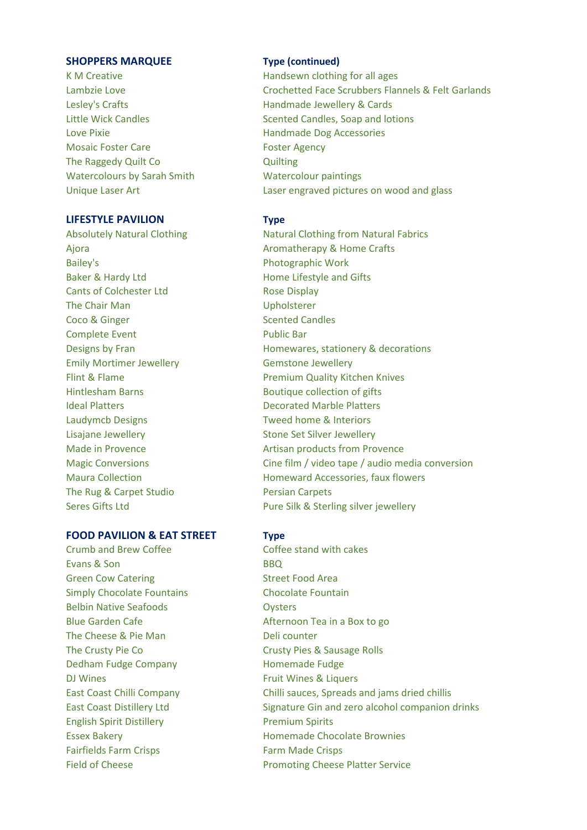### **SHOPPERS MARQUEE Type (continued)**

Love Pixie **Handmade Dog Accessories** Mosaic Foster Care **Foster Agency** The Raggedy Quilt Co **Quilting** Watercolours by Sarah Smith Watercolour paintings Unique Laser Art Laser engraved pictures on wood and glass

### **LIFESTYLE PAVILION Type**

Bailey's **Photographic Work** Baker & Hardy Ltd **Home Lifestyle and Gifts** Cants of Colchester Ltd Rose Display The Chair Man **Upholsterer** Coco & Ginger Scented Candles Complete Event **Public Bar** Emily Mortimer Jewellery **Gemstone Jewellery** Hintlesham Barns **Boutique collection of gifts Ideal Platters Community Community** Decorated Marble Platters Laudymcb Designs Tweed home & Interiors Lisajane Jewellery **Stone Set Silver Jewellery** The Rug & Carpet Studio Persian Carpets

### **FOOD PAVILION & EAT STREET Type**

Crumb and Brew Coffee Coffee stand with cakes Evans & Son BBQ Green Cow Catering The Controller Street Food Area Simply Chocolate Fountains The Chocolate Fountain Belbin Native Seafoods **Canadia Contract Contract Contract Contract Contract Contract Contract Contract Contract Contract Contract Contract Contract Contract Contract Contract Contract Contract Contract Contract Contract C** Blue Garden Cafe Afternoon Tea in a Box to go The Cheese & Pie Man Deli counter The Crusty Pie Co **Crusty Pies & Sausage Rolls** Dedham Fudge Company **Homemade Fudge** DJ Wines **Example 20 Inches** Fruit Wines & Liquers English Spirit Distillery **Premium Spirits** Fairfields Farm Crisps Farm Made Crisps

- K M Creative **Handsewn** clothing for all ages Lambzie Love Crochetted Face Scrubbers Flannels & Felt Garlands Lesley's Crafts **Handmade Jewellery & Cards** Little Wick Candles **Scented Candles, Soap and lotions** 
	-
- Absolutely Natural Clothing Natural Clothing Natural Fabrics Ajora **Aromatherapy & Home Crafts** Designs by Fran **Homewares**, stationery & decorations Flint & Flame **Premium Quality Kitchen Knives** Made in Provence **Artisan products from Provence** Magic Conversions Cine film / video tape / audio media conversion Maura Collection **Maura Collection Homeward Accessories, faux flowers** Seres Gifts Ltd **Pure Silk & Sterling silver jewellery**

East Coast Chilli Company Chilli sauces, Spreads and jams dried chillis East Coast Distillery Ltd Signature Gin and zero alcohol companion drinks Essex Bakery **Example 20** Homemade Chocolate Brownies Field of Cheese **Promoting Cheese Platter Service**